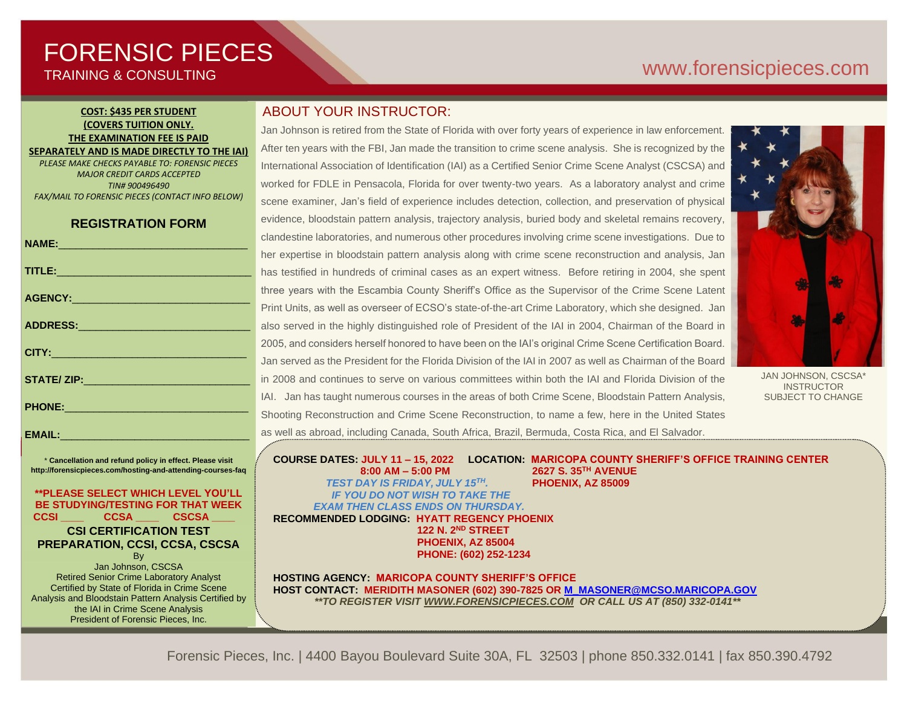# FORENSIC PIECES TRAINING & CONSULTING

# [www.forensicp](http://www.forensic/)ieces.com

## **COST: \$435 PER STUDENT (COVERS TUITION ONLY. THE EXAMINATION FEE IS PAID SEPARATELY AND IS MADE DIRECTLY TO THE IAI)**

*PLEASE MAKE CHECKS PAYABLE TO: FORENSIC PIECES MAJOR CREDIT CARDS ACCEPTED TIN# 900496490 FAX/MAIL TO FORENSIC PIECES (CONTACT INFO BELOW)*

## **REGISTRATION FORM**

|                                                                                                                                                                                                                               | ◡              |
|-------------------------------------------------------------------------------------------------------------------------------------------------------------------------------------------------------------------------------|----------------|
|                                                                                                                                                                                                                               | h              |
| TITLE: <b>And the Commission of the Commission</b>                                                                                                                                                                            | h              |
| AGENCY: ACCOUNT AND ACCOUNT ACCOUNT AND A REPORT OF THE RESIDENCE OF THE RESIDENCE OF THE RESIDENCE OF THE RESIDENCE OF THE RESIDENCE OF THE RESIDENCE OF THE RESIDENCE OF THE RESIDENCE OF THE RESIDENCE OF THE RESIDENCE OF | tł             |
|                                                                                                                                                                                                                               | P              |
|                                                                                                                                                                                                                               | a              |
|                                                                                                                                                                                                                               | $\overline{2}$ |
|                                                                                                                                                                                                                               | J              |
|                                                                                                                                                                                                                               | ir             |
|                                                                                                                                                                                                                               | I,             |
| PHONE: New York Phone:                                                                                                                                                                                                        | S              |
| <b>EMAIL:</b>                                                                                                                                                                                                                 | a              |

\* **Cancellation and refund policy in effect. Please visit http://forensicpieces.com/hosting-and-attending-courses-faq**

### **\*\*PLEASE SELECT WHICH LEVEL YOU'LL BE STUDYING/TESTING FOR THAT WEEK CCSI \_\_\_\_ CCSA \_\_\_\_ CSCSA \_\_\_\_**

## **CSI CERTIFICATION TEST PREPARATION, CCSI, CCSA, CSCSA**

**B**<sub>v</sub> Jan Johnson, CSCSA Retired Senior Crime Laboratory Analyst Certified by State of Florida in Crime Scene Analysis and Bloodstain Pattern Analysis Certified by the IAI in Crime Scene Analysis President of Forensic Pieces, Inc.

# ABOUT YOUR INSTRUCTOR:

Jan Johnson is retired from the State of Florida with over forty years of experience in law enforcement. After ten years with the FBI, Jan made the transition to crime scene analysis. She is recognized by the International Association of Identification (IAI) as a Certified Senior Crime Scene Analyst (CSCSA) and worked for FDLE in Pensacola, Florida for over twenty-two years. As a laboratory analyst and crime scene examiner, Jan's field of experience includes detection, collection, and preservation of physical evidence, bloodstain pattern analysis, trajectory analysis, buried body and skeletal remains recovery, clandestine laboratories, and numerous other procedures involving crime scene investigations. Due to her expertise in bloodstain pattern analysis along with crime scene reconstruction and analysis, Jan has testified in hundreds of criminal cases as an expert witness. Before retiring in 2004, she spent hree years with the Escambia County Sheriff's Office as the Supervisor of the Crime Scene Latent Print Units, as well as overseer of ECSO's state-of-the-art Crime Laboratory, which she designed. Jan also served in the highly distinguished role of President of the IAI in 2004, Chairman of the Board in 2005, and considers herself honored to have been on the IAI's original Crime Scene Certification Board. Jan served as the President for the Florida Division of the IAI in 2007 as well as Chairman of the Board n 2008 and continues to serve on various committees within both the IAI and Florida Division of the AI. Jan has taught numerous courses in the areas of both Crime Scene, Bloodstain Pattern Analysis, Shooting Reconstruction and Crime Scene Reconstruction, to name a few, here in the United States as well as abroad, including Canada, South Africa, Brazil, Bermuda, Costa Rica, and El Salvador.



JAN JOHNSON, CSCSA\* **INSTRUCTOR** SUBJECT TO CHANGE

**COURSE DATES: JULY 11 – 15, 2022 LOCATION: MARICOPA COUNTY SHERIFF'S OFFICE TRAINING CENTER 8:00 AM – 5:00 PM 2627 S. 35TH AVENUE** *TEST DAY IS FRIDAY, JULY 15 TH.* **PHOENIX, AZ 85009** *IF YOU DO NOT WISH TO TAKE THE EXAM THEN CLASS ENDS ON THURSDAY.* **RECOMMENDED LODGING: HYATT REGENCY PHOENIX**

 **122 N. 2ND STREET PHOENIX, AZ 85004 PHONE: (602) 252-1234** 

**HOSTING AGENCY: MARICOPA COUNTY SHERIFF'S OFFICE HOST CONTACT: MERIDITH MASONER (602) 390-7825 O[R M\\_MASONER@MCSO.MARICOPA.GOV](mailto:M_MASONER@MCSO.MARICOPA.GOV)** *\*\*TO REGISTER VISIT [WWW.FORENSICPIECES.COM](http://www.forensicpieces.com/) OR CALL US AT (850) 332-0141\*\**

Forensic Pieces, Inc. | 4400 Bayou Boulevard Suite 30A, FL 32503 | phone 850.332.0141 | fax 850.390.4792